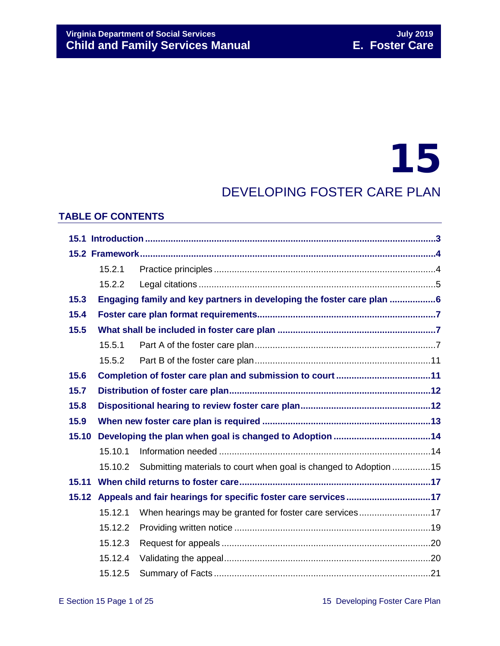# 15

### DEVELOPING FOSTER CARE PLAN

#### **TABLE OF CONTENTS**

|       | 15.2.1                                                              |                                                                       |  |  |
|-------|---------------------------------------------------------------------|-----------------------------------------------------------------------|--|--|
|       | 15.2.2                                                              |                                                                       |  |  |
| 15.3  |                                                                     | Engaging family and key partners in developing the foster care plan 6 |  |  |
| 15.4  |                                                                     |                                                                       |  |  |
| 15.5  |                                                                     |                                                                       |  |  |
|       | 15.5.1                                                              |                                                                       |  |  |
|       | 15.5.2                                                              |                                                                       |  |  |
| 15.6  |                                                                     |                                                                       |  |  |
| 15.7  |                                                                     |                                                                       |  |  |
| 15.8  |                                                                     |                                                                       |  |  |
| 15.9  |                                                                     |                                                                       |  |  |
| 15.10 |                                                                     |                                                                       |  |  |
|       | 15.10.1                                                             |                                                                       |  |  |
|       | 15.10.2                                                             | Submitting materials to court when goal is changed to Adoption 15     |  |  |
| 15.11 |                                                                     |                                                                       |  |  |
|       | 15.12 Appeals and fair hearings for specific foster care services17 |                                                                       |  |  |
|       | 15.12.1                                                             | When hearings may be granted for foster care services17               |  |  |
|       | 15.12.2                                                             |                                                                       |  |  |
|       | 15.12.3                                                             |                                                                       |  |  |
|       | 15.12.4                                                             |                                                                       |  |  |
|       | 15.12.5                                                             |                                                                       |  |  |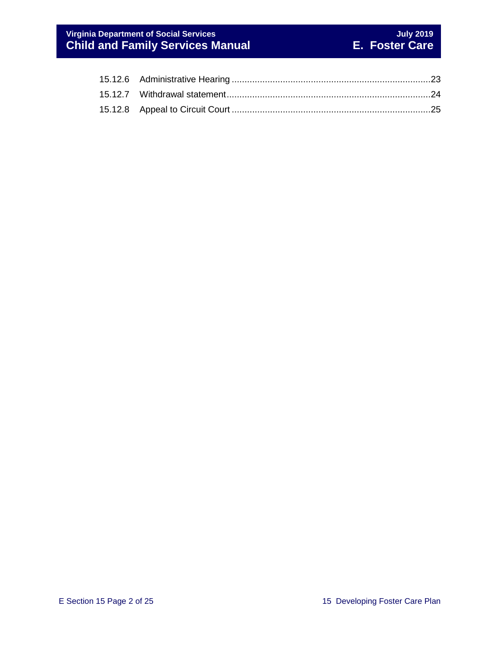#### **Virginia Department of Social Services July 2019 Child and Family Services Manual E. Foster Care**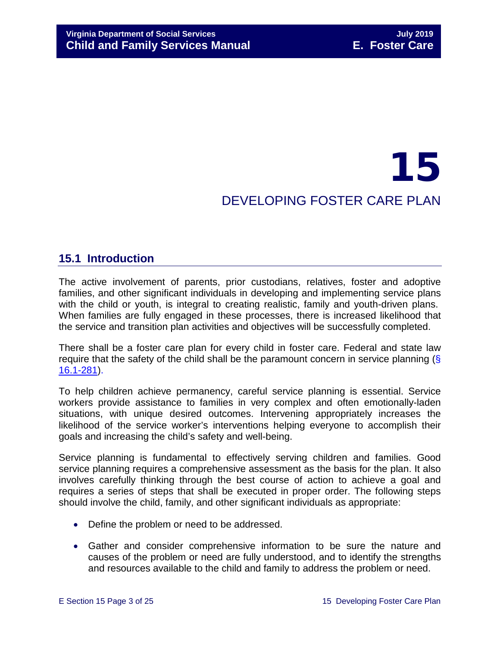## 15 DEVELOPING FOSTER CARE PLAN

### <span id="page-2-0"></span>**15.1 Introduction**

The active involvement of parents, prior custodians, relatives, foster and adoptive families, and other significant individuals in developing and implementing service plans with the child or youth, is integral to creating realistic, family and youth-driven plans. When families are fully engaged in these processes, there is increased likelihood that the service and transition plan activities and objectives will be successfully completed.

There shall be a foster care plan for every child in foster care. Federal and state law require that the safety of the child shall be the paramount concern in service planning (§ [16.1-281\)](http://law.lis.virginia.gov/vacode/16.1-281/).

To help children achieve permanency, careful service planning is essential. Service workers provide assistance to families in very complex and often emotionally-laden situations, with unique desired outcomes. Intervening appropriately increases the likelihood of the service worker's interventions helping everyone to accomplish their goals and increasing the child's safety and well-being.

Service planning is fundamental to effectively serving children and families. Good service planning requires a comprehensive assessment as the basis for the plan. It also involves carefully thinking through the best course of action to achieve a goal and requires a series of steps that shall be executed in proper order. The following steps should involve the child, family, and other significant individuals as appropriate:

- Define the problem or need to be addressed.
- Gather and consider comprehensive information to be sure the nature and causes of the problem or need are fully understood, and to identify the strengths and resources available to the child and family to address the problem or need.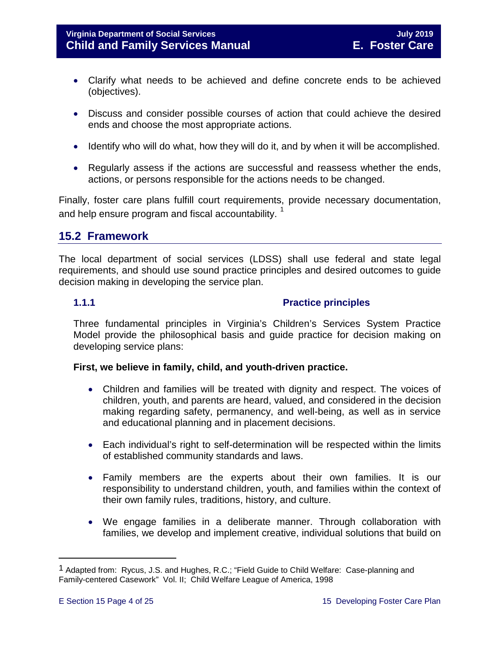- Clarify what needs to be achieved and define concrete ends to be achieved (objectives).
- Discuss and consider possible courses of action that could achieve the desired ends and choose the most appropriate actions.
- Identify who will do what, how they will do it, and by when it will be accomplished.
- Regularly assess if the actions are successful and reassess whether the ends, actions, or persons responsible for the actions needs to be changed.

Finally, foster care plans fulfill court requirements, provide necessary documentation, and help ensure program and fiscal accountability.<sup>1</sup>

### <span id="page-3-0"></span>**15.2 Framework**

The local department of social services (LDSS) shall use federal and state legal requirements, and should use sound practice principles and desired outcomes to guide decision making in developing the service plan.

#### <span id="page-3-1"></span>**1.1.1 Practice principles**

Three fundamental principles in Virginia's Children's Services System Practice Model provide the philosophical basis and guide practice for decision making on developing service plans:

#### **First, we believe in family, child, and youth-driven practice.**

- Children and families will be treated with dignity and respect. The voices of children, youth, and parents are heard, valued, and considered in the decision making regarding safety, permanency, and well-being, as well as in service and educational planning and in placement decisions.
- Each individual's right to self-determination will be respected within the limits of established community standards and laws.
- Family members are the experts about their own families. It is our responsibility to understand children, youth, and families within the context of their own family rules, traditions, history, and culture.
- We engage families in a deliberate manner. Through collaboration with families, we develop and implement creative, individual solutions that build on

Ĩ.

<span id="page-3-2"></span><sup>1</sup> Adapted from: Rycus, J.S. and Hughes, R.C.; "Field Guide to Child Welfare: Case-planning and Family-centered Casework" Vol. II; Child Welfare League of America, 1998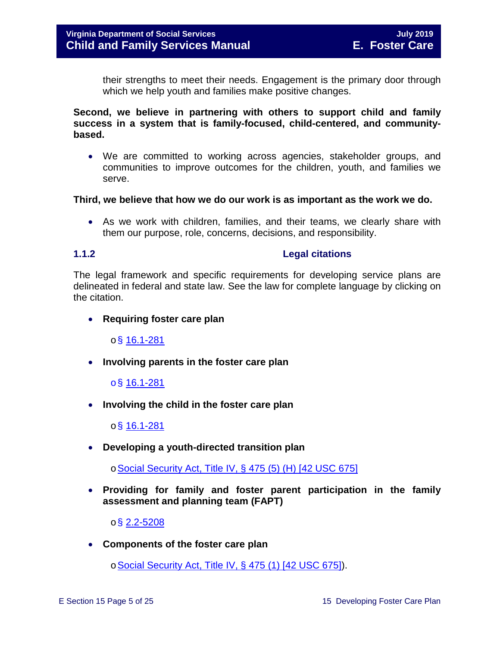their strengths to meet their needs. Engagement is the primary door through which we help youth and families make positive changes.

**Second, we believe in partnering with others to support child and family success in a system that is family-focused, child-centered, and communitybased.** 

• We are committed to working across agencies, stakeholder groups, and communities to improve outcomes for the children, youth, and families we serve.

#### **Third, we believe that how we do our work is as important as the work we do.**

• As we work with children, families, and their teams, we clearly share with them our purpose, role, concerns, decisions, and responsibility.

#### <span id="page-4-0"></span>**1.1.2 Legal citations**

The legal framework and specific requirements for developing service plans are delineated in federal and state law. See the law for complete language by clicking on the citation.

• **Requiring foster care plan** 

 $\circ$ § [16.1-281](http://law.lis.virginia.gov/vacode/16.1-281/)

• **Involving parents in the foster care plan** 

o§ [16.1-281](http://law.lis.virginia.gov/vacode/16.1-281/)

• **Involving the child in the foster care plan** 

o§ [16.1-281](http://law.lis.virginia.gov/vacode/16.1-281/)

• **Developing a youth-directed transition plan** 

o[Social Security Act, Title IV, § 475 \(5\) \(H\) \[42 USC 675\]](http://www.ssa.gov/OP_Home/ssact/title04/0475.htm)

• **Providing for family and foster parent participation in the family assessment and planning team (FAPT)** 

o§ [2.2-5208](http://law.lis.virginia.gov/vacode/2.2-5208/)

• **Components of the foster care plan** 

o [Social Security Act, Title IV, § 475 \(1\) \[42 USC 675\]\)](http://www.ssa.gov/OP_Home/ssact/title04/0475.htm).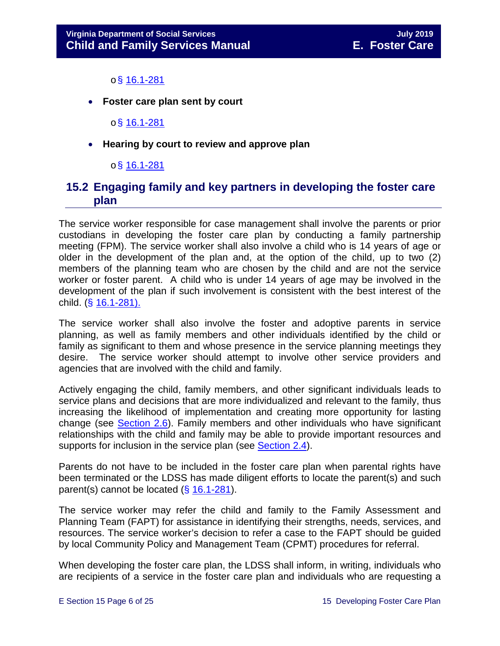#### $o$ § [16.1-281](http://law.lis.virginia.gov/vacode/16.1-281/)

• **Foster care plan sent by court** 

o§ [16.1-281](http://law.lis.virginia.gov/vacode/16.1-281/)

• **Hearing by court to review and approve plan** 

#### $\circ$ § [16.1-281](http://law.lis.virginia.gov/vacode/16.1-281/)

### <span id="page-5-0"></span>**15.2 Engaging family and key partners in developing the foster care plan**

The service worker responsible for case management shall involve the parents or prior custodians in developing the foster care plan by conducting a family partnership meeting (FPM). The service worker shall also involve a child who is 14 years of age or older in the development of the plan and, at the option of the child, up to two (2) members of the planning team who are chosen by the child and are not the service worker or foster parent. A child who is under 14 years of age may be involved in the development of the plan if such involvement is consistent with the best interest of the child. (§ [16.1-281\).](http://law.lis.virginia.gov/vacode/16.1-281/)

The service worker shall also involve the foster and adoptive parents in service planning, as well as family members and other individuals identified by the child or family as significant to them and whose presence in the service planning meetings they desire. The service worker should attempt to involve other service providers and agencies that are involved with the child and family.

Actively engaging the child, family members, and other significant individuals leads to service plans and decisions that are more individualized and relevant to the family, thus increasing the likelihood of implementation and creating more opportunity for lasting change (see [Section 2.6\)](https://fusion.dss.virginia.gov/Portals/%5bdfs%5d/Files/DFS%20Manuals/Foster%20Care%20Manuals/Foster%20Care%20Manual%2007-2019/section_2_engaging_the_child_family_and_significant_adults.pdf#page=13). Family members and other individuals who have significant relationships with the child and family may be able to provide important resources and supports for inclusion in the service plan (see [Section 2.4\)](https://fusion.dss.virginia.gov/Portals/%5bdfs%5d/Files/DFS%20Manuals/Foster%20Care%20Manuals/Foster%20Care%20Manual%2007-2019/section_2_engaging_the_child_family_and_significant_adults.pdf#page=8).

Parents do not have to be included in the foster care plan when parental rights have been terminated or the LDSS has made diligent efforts to locate the parent(s) and such parent(s) cannot be located (§ [16.1-281\)](http://law.lis.virginia.gov/vacode/16.1-281/).

The service worker may refer the child and family to the Family Assessment and Planning Team (FAPT) for assistance in identifying their strengths, needs, services, and resources. The service worker's decision to refer a case to the FAPT should be guided by local Community Policy and Management Team (CPMT) procedures for referral.

When developing the foster care plan, the LDSS shall inform, in writing, individuals who are recipients of a service in the foster care plan and individuals who are requesting a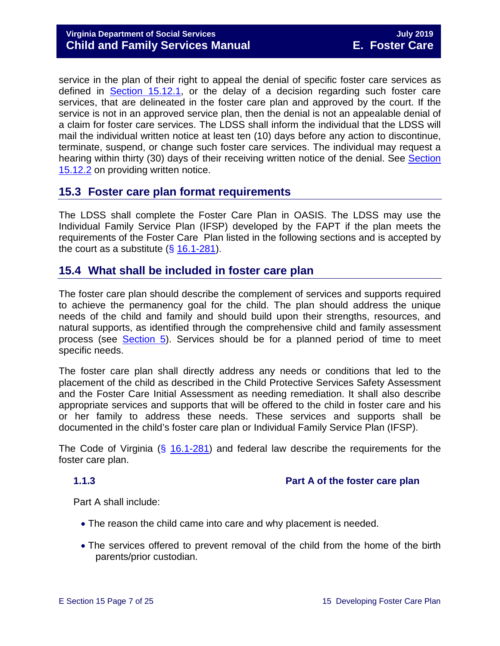service in the plan of their right to appeal the denial of specific foster care services as defined in [Section 15.12.1,](#page-16-2) or the delay of a decision regarding such foster care services, that are delineated in the foster care plan and approved by the court. If the service is not in an approved service plan, then the denial is not an appealable denial of a claim for foster care services. The LDSS shall inform the individual that the LDSS will mail the individual written notice at least ten (10) days before any action to discontinue, terminate, suspend, or change such foster care services. The individual may request a hearing within thirty (30) days of their receiving written notice of the denial. See [Section](#page-18-1)  [15.12.2](#page-18-1) on providing written notice.

### <span id="page-6-0"></span>**15.3 Foster care plan format requirements**

The LDSS shall complete the Foster Care Plan in OASIS. The LDSS may use the Individual Family Service Plan (IFSP) developed by the FAPT if the plan meets the requirements of the Foster Care Plan listed in the following sections and is accepted by the court as a substitute  $(\S 16.1-281)$  $(\S 16.1-281)$ .

### <span id="page-6-1"></span>**15.4 What shall be included in foster care plan**

The foster care plan should describe the complement of services and supports required to achieve the permanency goal for the child. The plan should address the unique needs of the child and family and should build upon their strengths, resources, and natural supports, as identified through the comprehensive child and family assessment process (see [Section 5\)](https://fusion.dss.virginia.gov/Portals/%5bdfs%5d/Files/DFS%20Manuals/Foster%20Care%20Manuals/Foster%20Care%20Manual%2007-2019/section_5_conducting_child_and_family_assessment.pdf). Services should be for a planned period of time to meet specific needs.

The foster care plan shall directly address any needs or conditions that led to the placement of the child as described in the Child Protective Services Safety Assessment and the Foster Care Initial Assessment as needing remediation. It shall also describe appropriate services and supports that will be offered to the child in foster care and his or her family to address these needs. These services and supports shall be documented in the child's foster care plan or Individual Family Service Plan (IFSP).

The Code of Virginia (§ [16.1-281\)](http://law.lis.virginia.gov/vacode/16.1-281/) and federal law describe the requirements for the foster care plan.

#### **1.1.3 Part A of the foster care plan**

Part A shall include:

- <span id="page-6-2"></span>• The reason the child came into care and why placement is needed.
- The services offered to prevent removal of the child from the home of the birth parents/prior custodian.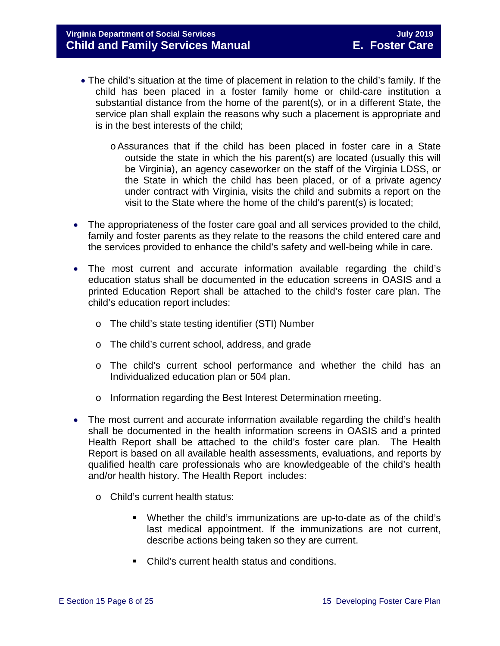- The child's situation at the time of placement in relation to the child's family. If the child has been placed in a foster family home or child-care institution a substantial distance from the home of the parent(s), or in a different State, the service plan shall explain the reasons why such a placement is appropriate and is in the best interests of the child;
	- oAssurances that if the child has been placed in foster care in a State outside the state in which the his parent(s) are located (usually this will be Virginia), an agency caseworker on the staff of the Virginia LDSS, or the State in which the child has been placed, or of a private agency under contract with Virginia, visits the child and submits a report on the visit to the State where the home of the child's parent(s) is located;
- The appropriateness of the foster care goal and all services provided to the child, family and foster parents as they relate to the reasons the child entered care and the services provided to enhance the child's safety and well-being while in care.
- The most current and accurate information available regarding the child's education status shall be documented in the education screens in OASIS and a printed Education Report shall be attached to the child's foster care plan. The child's education report includes:
	- o The child's state testing identifier (STI) Number
	- o The child's current school, address, and grade
	- o The child's current school performance and whether the child has an Individualized education plan or 504 plan.
	- o Information regarding the Best Interest Determination meeting.
- The most current and accurate information available regarding the child's health shall be documented in the health information screens in OASIS and a printed Health Report shall be attached to the child's foster care plan. The Health Report is based on all available health assessments, evaluations, and reports by qualified health care professionals who are knowledgeable of the child's health and/or health history. The Health Report includes:
	- o Child's current health status:
		- Whether the child's immunizations are up-to-date as of the child's last medical appointment. If the immunizations are not current, describe actions being taken so they are current.
		- Child's current health status and conditions.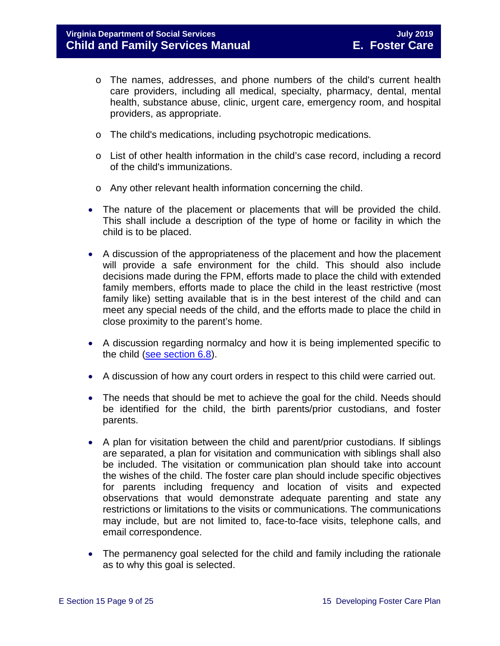- o The names, addresses, and phone numbers of the child's current health care providers, including all medical, specialty, pharmacy, dental, mental health, substance abuse, clinic, urgent care, emergency room, and hospital providers, as appropriate.
- o The child's medications, including psychotropic medications.
- o List of other health information in the child's case record, including a record of the child's immunizations.
- o Any other relevant health information concerning the child.
- The nature of the placement or placements that will be provided the child. This shall include a description of the type of home or facility in which the child is to be placed.
- A discussion of the appropriateness of the placement and how the placement will provide a safe environment for the child. This should also include decisions made during the FPM, efforts made to place the child with extended family members, efforts made to place the child in the least restrictive (most family like) setting available that is in the best interest of the child and can meet any special needs of the child, and the efforts made to place the child in close proximity to the parent's home.
- A discussion regarding normalcy and how it is being implemented specific to the child [\(see section 6.8\)](https://fusion.dss.virginia.gov/Portals/%5bdfs%5d/Files/DFS%20Manuals/Foster%20Care%20Manuals/Foster%20Care%20Manual%2007-2019/section_6_placement_to_achieve_permanency.pdf#page=26).
- A discussion of how any court orders in respect to this child were carried out.
- The needs that should be met to achieve the goal for the child. Needs should be identified for the child, the birth parents/prior custodians, and foster parents.
- A plan for visitation between the child and parent/prior custodians. If siblings are separated, a plan for visitation and communication with siblings shall also be included. The visitation or communication plan should take into account the wishes of the child. The foster care plan should include specific objectives for parents including frequency and location of visits and expected observations that would demonstrate adequate parenting and state any restrictions or limitations to the visits or communications. The communications may include, but are not limited to, face-to-face visits, telephone calls, and email correspondence.
- The permanency goal selected for the child and family including the rationale as to why this goal is selected.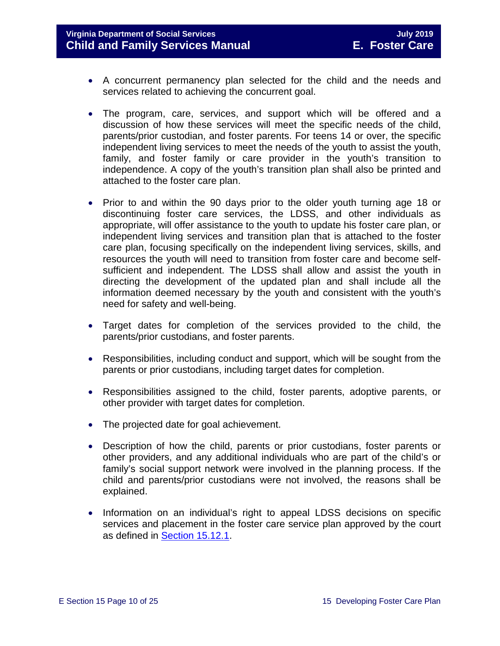#### **Virginia Department of Social Services July 2019 Child and Family Services Manual**

- A concurrent permanency plan selected for the child and the needs and services related to achieving the concurrent goal.
- The program, care, services, and support which will be offered and a discussion of how these services will meet the specific needs of the child, parents/prior custodian, and foster parents. For teens 14 or over, the specific independent living services to meet the needs of the youth to assist the youth, family, and foster family or care provider in the youth's transition to independence. A copy of the youth's transition plan shall also be printed and attached to the foster care plan.
- Prior to and within the 90 days prior to the older youth turning age 18 or discontinuing foster care services, the LDSS, and other individuals as appropriate, will offer assistance to the youth to update his foster care plan, or independent living services and transition plan that is attached to the foster care plan, focusing specifically on the independent living services, skills, and resources the youth will need to transition from foster care and become selfsufficient and independent. The LDSS shall allow and assist the youth in directing the development of the updated plan and shall include all the information deemed necessary by the youth and consistent with the youth's need for safety and well-being.
- Target dates for completion of the services provided to the child, the parents/prior custodians, and foster parents.
- Responsibilities, including conduct and support, which will be sought from the parents or prior custodians, including target dates for completion.
- Responsibilities assigned to the child, foster parents, adoptive parents, or other provider with target dates for completion.
- The projected date for goal achievement.
- Description of how the child, parents or prior custodians, foster parents or other providers, and any additional individuals who are part of the child's or family's social support network were involved in the planning process. If the child and parents/prior custodians were not involved, the reasons shall be explained.
- Information on an individual's right to appeal LDSS decisions on specific services and placement in the foster care service plan approved by the court as defined in [Section 15.12.1.](#page-16-2)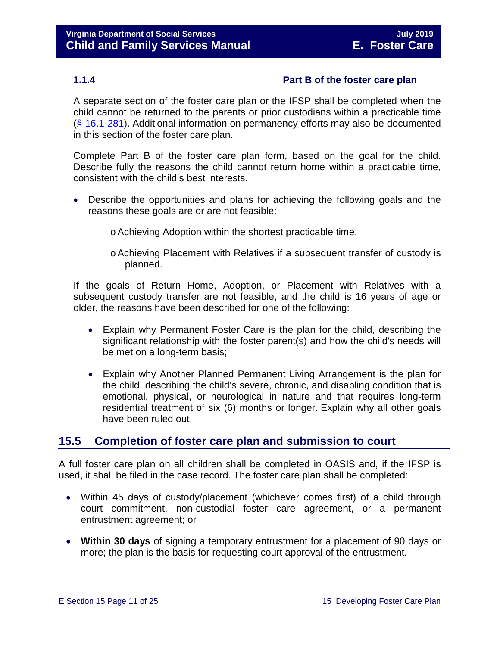#### <span id="page-10-0"></span>**1.1.4 Part B of the foster care plan**

A separate section of the foster care plan or the IFSP shall be completed when the child cannot be returned to the parents or prior custodians within a practicable time (§ [16.1-281\)](http://law.lis.virginia.gov/vacode/16.1-281/). Additional information on permanency efforts may also be documented in this section of the foster care plan.

Complete Part B of the foster care plan form, based on the goal for the child. Describe fully the reasons the child cannot return home within a practicable time, consistent with the child's best interests.

- Describe the opportunities and plans for achieving the following goals and the reasons these goals are or are not feasible:
	- oAchieving Adoption within the shortest practicable time.
	- oAchieving Placement with Relatives if a subsequent transfer of custody is planned.

If the goals of Return Home, Adoption, or Placement with Relatives with a subsequent custody transfer are not feasible, and the child is 16 years of age or older, the reasons have been described for one of the following:

- Explain why Permanent Foster Care is the plan for the child, describing the significant relationship with the foster parent(s) and how the child's needs will be met on a long-term basis;
- Explain why Another Planned Permanent Living Arrangement is the plan for the child, describing the child's severe, chronic, and disabling condition that is emotional, physical, or neurological in nature and that requires long-term residential treatment of six (6) months or longer. Explain why all other goals have been ruled out.

### <span id="page-10-1"></span>**15.5 Completion of foster care plan and submission to court**

A full foster care plan on all children shall be completed in OASIS and, if the IFSP is used, it shall be filed in the case record. The foster care plan shall be completed:

- Within 45 days of custody/placement (whichever comes first) of a child through court commitment, non-custodial foster care agreement, or a permanent entrustment agreement; or
- **Within 30 days** of signing a temporary entrustment for a placement of 90 days or more; the plan is the basis for requesting court approval of the entrustment.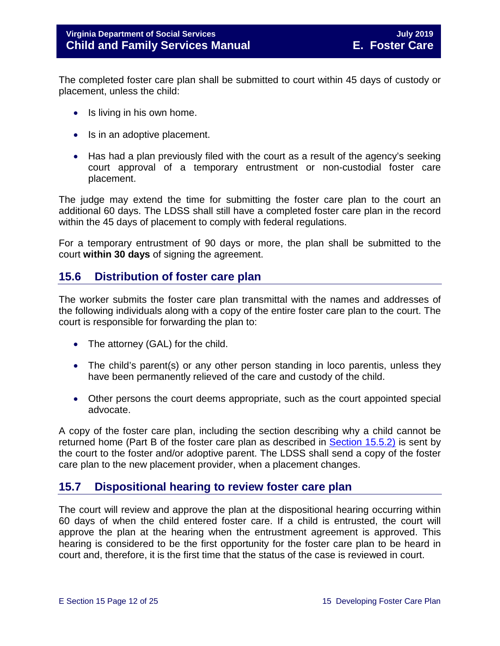The completed foster care plan shall be submitted to court within 45 days of custody or placement, unless the child:

- Is living in his own home.
- Is in an adoptive placement.
- Has had a plan previously filed with the court as a result of the agency's seeking court approval of a temporary entrustment or non-custodial foster care placement.

The judge may extend the time for submitting the foster care plan to the court an additional 60 days. The LDSS shall still have a completed foster care plan in the record within the 45 days of placement to comply with federal regulations.

For a temporary entrustment of 90 days or more, the plan shall be submitted to the court **within 30 days** of signing the agreement.

### <span id="page-11-0"></span>**15.6 Distribution of foster care plan**

The worker submits the foster care plan transmittal with the names and addresses of the following individuals along with a copy of the entire foster care plan to the court. The court is responsible for forwarding the plan to:

- The attorney (GAL) for the child.
- The child's parent(s) or any other person standing in loco parentis, unless they have been permanently relieved of the care and custody of the child.
- Other persons the court deems appropriate, such as the court appointed special advocate.

A copy of the foster care plan, including the section describing why a child cannot be returned home (Part B of the foster care plan as described in **Section 15.5.2)** is sent by the court to the foster and/or adoptive parent. The LDSS shall send a copy of the foster care plan to the new placement provider, when a placement changes.

### <span id="page-11-1"></span>**15.7 Dispositional hearing to review foster care plan**

The court will review and approve the plan at the dispositional hearing occurring within 60 days of when the child entered foster care. If a child is entrusted, the court will approve the plan at the hearing when the entrustment agreement is approved. This hearing is considered to be the first opportunity for the foster care plan to be heard in court and, therefore, it is the first time that the status of the case is reviewed in court.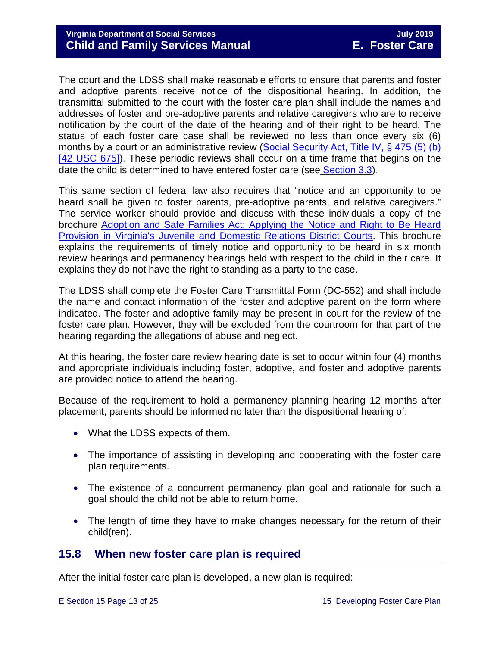The court and the LDSS shall make reasonable efforts to ensure that parents and foster and adoptive parents receive notice of the dispositional hearing. In addition, the transmittal submitted to the court with the foster care plan shall include the names and addresses of foster and pre-adoptive parents and relative caregivers who are to receive notification by the court of the date of the hearing and of their right to be heard. The status of each foster care case shall be reviewed no less than once every six (6) months by a court or an administrative review (Social Security Act, Title IV, § 475 (5) (b) [\[42 USC 675\]\)](http://www.socialsecurity.gov/OP_Home/ssact/title04/0475.htm). These periodic reviews shall occur on a time frame that begins on the date the child is determined to have entered foster care (see [Section 3.3\)](https://fusion.dss.virginia.gov/Portals/%5bdfs%5d/Files/DFS%20Manuals/Foster%20Care%20Manuals/Foster%20Care%20Manual%2007-2019/section_3_entering_foster_care.pdf#page=3).

This same section of federal law also requires that "notice and an opportunity to be heard shall be given to foster parents, pre-adoptive parents, and relative caregivers." The service worker should provide and discuss with these individuals a copy of the brochure [Adoption and Safe Families Act: Applying the Notice and Right to Be Heard](http://www.courts.state.va.us/courtadmin/aoc/cip/resources/asfa_brochure_web.pdf)  [Provision in Virginia's Juvenile and Domestic Relations District Courts.](http://www.courts.state.va.us/courtadmin/aoc/cip/resources/asfa_brochure_web.pdf) This brochure explains the requirements of timely notice and opportunity to be heard in six month review hearings and permanency hearings held with respect to the child in their care. It explains they do not have the right to standing as a party to the case.

The LDSS shall complete the Foster Care Transmittal Form (DC-552) and shall include the name and contact information of the foster and adoptive parent on the form where indicated. The foster and adoptive family may be present in court for the review of the foster care plan. However, they will be excluded from the courtroom for that part of the hearing regarding the allegations of abuse and neglect.

At this hearing, the foster care review hearing date is set to occur within four (4) months and appropriate individuals including foster, adoptive, and foster and adoptive parents are provided notice to attend the hearing.

Because of the requirement to hold a permanency planning hearing 12 months after placement, parents should be informed no later than the dispositional hearing of:

- What the LDSS expects of them.
- The importance of assisting in developing and cooperating with the foster care plan requirements.
- The existence of a concurrent permanency plan goal and rationale for such a goal should the child not be able to return home.
- The length of time they have to make changes necessary for the return of their child(ren).

### <span id="page-12-0"></span>**15.8 When new foster care plan is required**

After the initial foster care plan is developed, a new plan is required: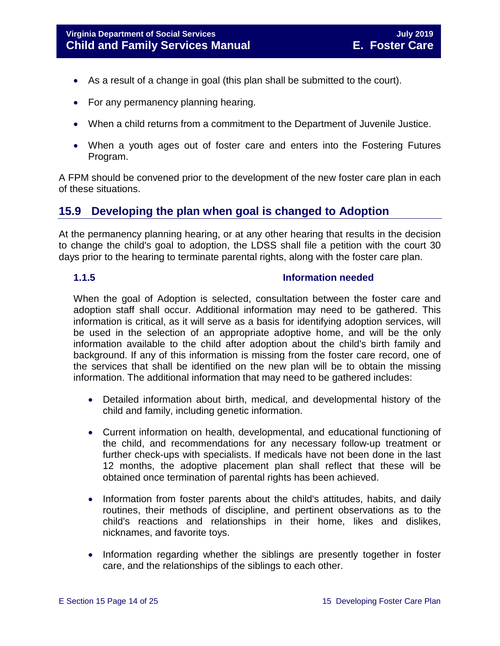- As a result of a change in goal (this plan shall be submitted to the court).
- For any permanency planning hearing.
- When a child returns from a commitment to the Department of Juvenile Justice.
- When a youth ages out of foster care and enters into the Fostering Futures Program.

A FPM should be convened prior to the development of the new foster care plan in each of these situations.

### <span id="page-13-0"></span>**15.9 Developing the plan when goal is changed to Adoption**

At the permanency planning hearing, or at any other hearing that results in the decision to change the child's goal to adoption, the LDSS shall file a petition with the court 30 days prior to the hearing to terminate parental rights, along with the foster care plan.

#### <span id="page-13-1"></span>**1.1.5 Information needed**

When the goal of Adoption is selected, consultation between the foster care and adoption staff shall occur. Additional information may need to be gathered. This information is critical, as it will serve as a basis for identifying adoption services, will be used in the selection of an appropriate adoptive home, and will be the only information available to the child after adoption about the child's birth family and background. If any of this information is missing from the foster care record, one of the services that shall be identified on the new plan will be to obtain the missing information. The additional information that may need to be gathered includes:

- Detailed information about birth, medical, and developmental history of the child and family, including genetic information.
- Current information on health, developmental, and educational functioning of the child, and recommendations for any necessary follow-up treatment or further check-ups with specialists. If medicals have not been done in the last 12 months, the adoptive placement plan shall reflect that these will be obtained once termination of parental rights has been achieved.
- Information from foster parents about the child's attitudes, habits, and daily routines, their methods of discipline, and pertinent observations as to the child's reactions and relationships in their home, likes and dislikes, nicknames, and favorite toys.
- Information regarding whether the siblings are presently together in foster care, and the relationships of the siblings to each other.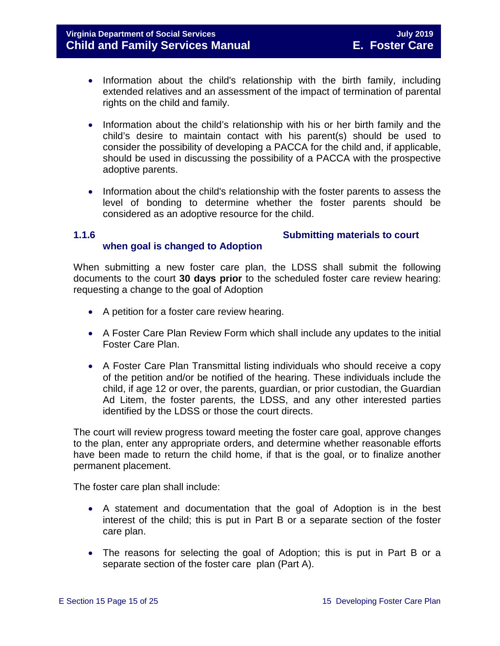- Information about the child's relationship with the birth family, including extended relatives and an assessment of the impact of termination of parental rights on the child and family.
- Information about the child's relationship with his or her birth family and the child's desire to maintain contact with his parent(s) should be used to consider the possibility of developing a PACCA for the child and, if applicable, should be used in discussing the possibility of a PACCA with the prospective adoptive parents.
- Information about the child's relationship with the foster parents to assess the level of bonding to determine whether the foster parents should be considered as an adoptive resource for the child.

#### <span id="page-14-0"></span>**1.1.6 Submitting materials to court when goal is changed to Adoption**

When submitting a new foster care plan, the LDSS shall submit the following documents to the court **30 days prior** to the scheduled foster care review hearing: requesting a change to the goal of Adoption

- A petition for a foster care review hearing.
- A Foster Care Plan Review Form which shall include any updates to the initial Foster Care Plan.
- A Foster Care Plan Transmittal listing individuals who should receive a copy of the petition and/or be notified of the hearing. These individuals include the child, if age 12 or over, the parents, guardian, or prior custodian, the Guardian Ad Litem, the foster parents, the LDSS, and any other interested parties identified by the LDSS or those the court directs.

The court will review progress toward meeting the foster care goal, approve changes to the plan, enter any appropriate orders, and determine whether reasonable efforts have been made to return the child home, if that is the goal, or to finalize another permanent placement.

The foster care plan shall include:

- A statement and documentation that the goal of Adoption is in the best interest of the child; this is put in Part B or a separate section of the foster care plan.
- The reasons for selecting the goal of Adoption; this is put in Part B or a separate section of the foster care plan (Part A).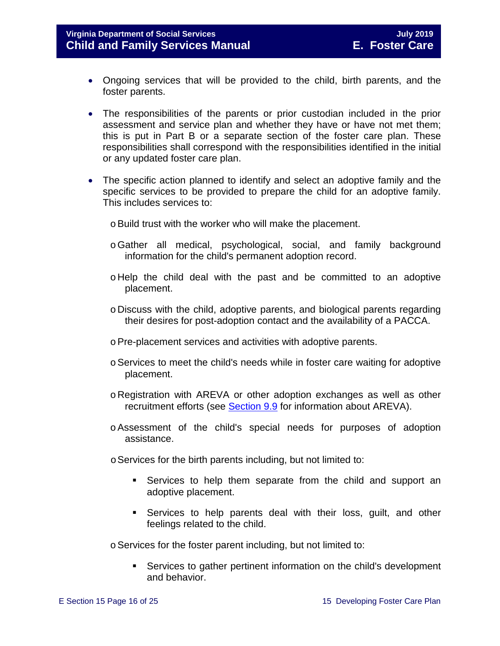#### **Virginia Department of Social Services July 2019 Child and Family Services Manual E. Foster Care**

- Ongoing services that will be provided to the child, birth parents, and the foster parents.
- The responsibilities of the parents or prior custodian included in the prior assessment and service plan and whether they have or have not met them; this is put in Part B or a separate section of the foster care plan. These responsibilities shall correspond with the responsibilities identified in the initial or any updated foster care plan.
- The specific action planned to identify and select an adoptive family and the specific services to be provided to prepare the child for an adoptive family. This includes services to:
	- o Build trust with the worker who will make the placement.
	- oGather all medical, psychological, social, and family background information for the child's permanent adoption record.
	- o Help the child deal with the past and be committed to an adoptive placement.
	- o Discuss with the child, adoptive parents, and biological parents regarding their desires for post-adoption contact and the availability of a PACCA.
	- oPre-placement services and activities with adoptive parents.
	- oServices to meet the child's needs while in foster care waiting for adoptive placement.
	- o Registration with AREVA or other adoption exchanges as well as other recruitment efforts (see [Section 9.9](https://fusion.dss.virginia.gov/Portals/%5bdfs%5d/Files/DFS%20Manuals/Foster%20Care%20Manuals/Foster%20Care%20Manual%2007-2019/section_9_achieving_permanency_goal_adoption.pdf#page=31) for information about AREVA).
	- oAssessment of the child's special needs for purposes of adoption assistance.
	- oServices for the birth parents including, but not limited to:
		- Services to help them separate from the child and support an adoptive placement.
		- Services to help parents deal with their loss, guilt, and other feelings related to the child.

oServices for the foster parent including, but not limited to:

 Services to gather pertinent information on the child's development and behavior.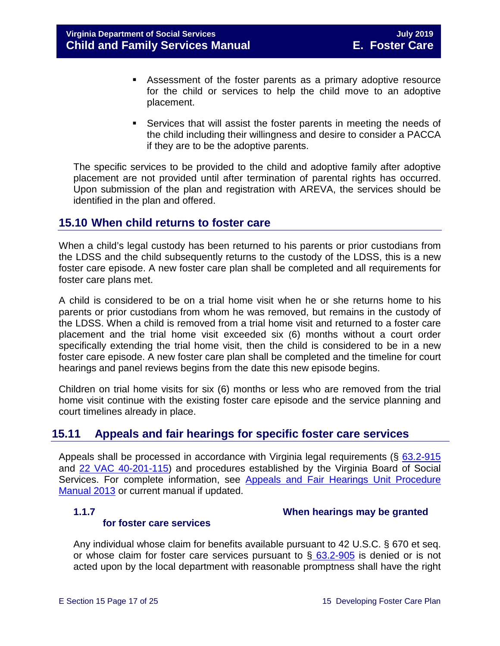- Assessment of the foster parents as a primary adoptive resource for the child or services to help the child move to an adoptive placement.
- Services that will assist the foster parents in meeting the needs of the child including their willingness and desire to consider a PACCA if they are to be the adoptive parents.

The specific services to be provided to the child and adoptive family after adoptive placement are not provided until after termination of parental rights has occurred. Upon submission of the plan and registration with AREVA, the services should be identified in the plan and offered.

### <span id="page-16-0"></span>**15.10 When child returns to foster care**

When a child's legal custody has been returned to his parents or prior custodians from the LDSS and the child subsequently returns to the custody of the LDSS, this is a new foster care episode. A new foster care plan shall be completed and all requirements for foster care plans met.

A child is considered to be on a trial home visit when he or she returns home to his parents or prior custodians from whom he was removed, but remains in the custody of the LDSS. When a child is removed from a trial home visit and returned to a foster care placement and the trial home visit exceeded six (6) months without a court order specifically extending the trial home visit, then the child is considered to be in a new foster care episode. A new foster care plan shall be completed and the timeline for court hearings and panel reviews begins from the date this new episode begins.

Children on trial home visits for six (6) months or less who are removed from the trial home visit continue with the existing foster care episode and the service planning and court timelines already in place.

### <span id="page-16-1"></span>**15.11 Appeals and fair hearings for specific foster care services**

Appeals shall be processed in accordance with Virginia legal requirements (§ [63.2-915](http://law.lis.virginia.gov/vacode/63.2-915/) and [22 VAC 40-201-115\)](http://law.lis.virginia.gov/admincode/title22/agency40/chapter201/section115) and procedures established by the Virginia Board of Social Services. For complete information, see [Appeals and Fair Hearings Unit Procedure](https://fusion.dss.virginia.gov/Portals/%5BAC%5D/Files/Appeals%2C%20Fair%20Hearings%20and%20Civil%20Rights/AFH_Procedure_Manual.pdf)  [Manual 2013](https://fusion.dss.virginia.gov/Portals/%5BAC%5D/Files/Appeals%2C%20Fair%20Hearings%20and%20Civil%20Rights/AFH_Procedure_Manual.pdf) or current manual if updated.

#### **for foster care services**

<span id="page-16-2"></span>**1.1.7 When hearings may be granted** 

Any individual whose claim for benefits available pursuant to 42 U.S.C. § 670 et seq. or whose claim for foster care services pursuant to  $\S$  [63.2-905](http://law.lis.virginia.gov/vacode/63.2-905/) is denied or is not acted upon by the local department with reasonable promptness shall have the right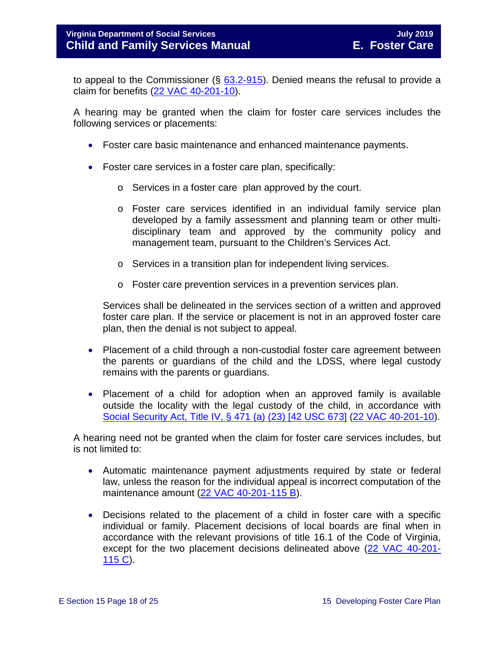to appeal to the Commissioner  $(\S$  [63.2-915\)](http://law.lis.virginia.gov/vacode/63.2-905/). Denied means the refusal to provide a claim for benefits [\(22 VAC 40-201-10\)](http://law.lis.virginia.gov/admincode/title22/agency40/chapter201/section10).

A hearing may be granted when the claim for foster care services includes the following services or placements:

- Foster care basic maintenance and enhanced maintenance payments.
- Foster care services in a foster care plan, specifically:
	- o Services in a foster care plan approved by the court.
	- o Foster care services identified in an individual family service plan developed by a family assessment and planning team or other multidisciplinary team and approved by the community policy and management team, pursuant to the Children's Services Act.
	- o Services in a transition plan for independent living services.
	- o Foster care prevention services in a prevention services plan.

Services shall be delineated in the services section of a written and approved foster care plan. If the service or placement is not in an approved foster care plan, then the denial is not subject to appeal.

- Placement of a child through a non-custodial foster care agreement between the parents or guardians of the child and the LDSS, where legal custody remains with the parents or guardians.
- Placement of a child for adoption when an approved family is available outside the locality with the legal custody of the child, in accordance with [Social Security Act, Title IV, § 471 \(a\) \(23\) \[42 USC 673\]](http://www.ssa.gov/OP_Home/ssact/title04/0471.htm) [\(22 VAC 40-201-10\)](http://law.lis.virginia.gov/admincode/title22/agency40/chapter201/section10).

A hearing need not be granted when the claim for foster care services includes, but is not limited to:

- Automatic maintenance payment adjustments required by state or federal law, unless the reason for the individual appeal is incorrect computation of the maintenance amount [\(22 VAC 40-201-115 B\)](http://law.lis.virginia.gov/admincode/title22/agency40/chapter201/section115).
- Decisions related to the placement of a child in foster care with a specific individual or family. Placement decisions of local boards are final when in accordance with the relevant provisions of title 16.1 of the Code of Virginia, except for the two placement decisions delineated above [\(22 VAC 40-201-](http://law.lis.virginia.gov/admincode/title22/agency40/chapter201/section115) [115 C\)](http://law.lis.virginia.gov/admincode/title22/agency40/chapter201/section115).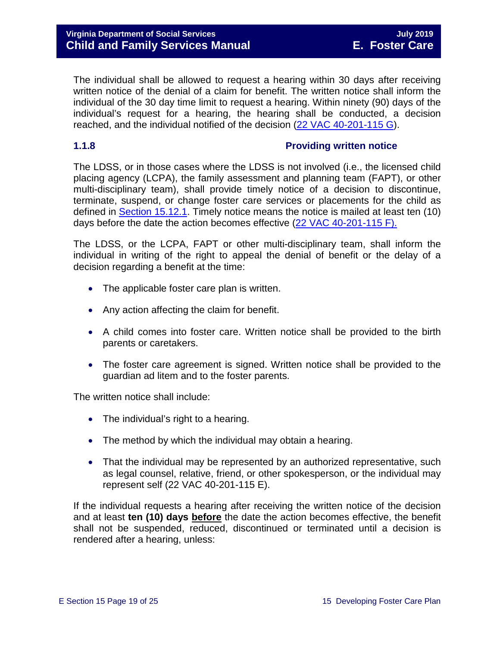The individual shall be allowed to request a hearing within 30 days after receiving written notice of the denial of a claim for benefit. The written notice shall inform the individual of the 30 day time limit to request a hearing. Within ninety (90) days of the individual's request for a hearing, the hearing shall be conducted, a decision reached, and the individual notified of the decision [\(22 VAC 40-201-115 G\)](http://law.lis.virginia.gov/admincode/title22/agency40/chapter201/section115).

#### <span id="page-18-1"></span><span id="page-18-0"></span>**1.1.8 Providing written notice**

The LDSS, or in those cases where the LDSS is not involved (i.e., the licensed child placing agency (LCPA), the family assessment and planning team (FAPT), or other multi-disciplinary team), shall provide timely notice of a decision to discontinue, terminate, suspend, or change foster care services or placements for the child as defined in [Section 15.12.1.](#page-16-2) Timely notice means the notice is mailed at least ten (10) days before the date the action becomes effective [\(22 VAC 40-201-115 F\).](http://law.lis.virginia.gov/admincode/title22/agency40/chapter201/section115)

The LDSS, or the LCPA, FAPT or other multi-disciplinary team, shall inform the individual in writing of the right to appeal the denial of benefit or the delay of a decision regarding a benefit at the time:

- The applicable foster care plan is written.
- Any action affecting the claim for benefit.
- A child comes into foster care. Written notice shall be provided to the birth parents or caretakers.
- The foster care agreement is signed. Written notice shall be provided to the guardian ad litem and to the foster parents.

The written notice shall include:

- The individual's right to a hearing.
- The method by which the individual may obtain a hearing.
- That the individual may be represented by an authorized representative, such as legal counsel, relative, friend, or other spokesperson, or the individual may represent self (22 VAC 40-201-115 E).

If the individual requests a hearing after receiving the written notice of the decision and at least **ten (10) days before** the date the action becomes effective, the benefit shall not be suspended, reduced, discontinued or terminated until a decision is rendered after a hearing, unless: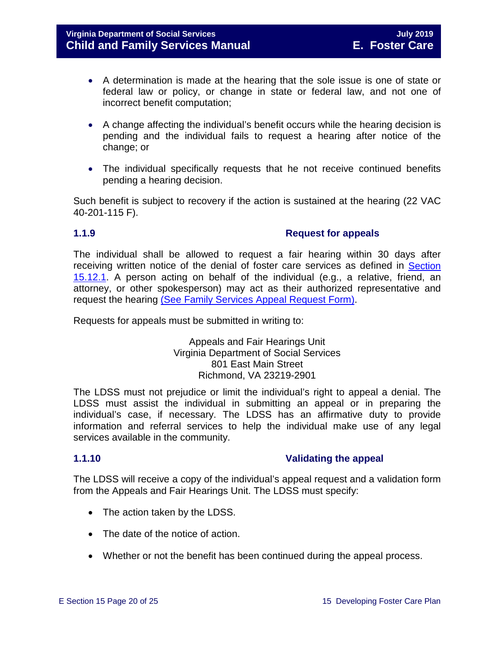- A determination is made at the hearing that the sole issue is one of state or federal law or policy, or change in state or federal law, and not one of incorrect benefit computation;
- A change affecting the individual's benefit occurs while the hearing decision is pending and the individual fails to request a hearing after notice of the change; or
- The individual specifically requests that he not receive continued benefits pending a hearing decision.

Such benefit is subject to recovery if the action is sustained at the hearing (22 VAC 40-201-115 F).

#### **1.1.9 Request for appeals**

The individual shall be allowed to request a fair hearing within 30 days after receiving written notice of the denial of foster care services as defined in [Section](#page-16-2)  [15.12.1.](#page-16-2) A person acting on behalf of the individual (e.g., a relative, friend, an attorney, or other spokesperson) may act as their authorized representative and request the hearing [\(See Family Services Appeal Request Form\).](https://fusion.dss.virginia.gov/Portals/%5Bdfs%5D/Files/DFS%20FORMS/Family%20Services-Generic%20Forms/Family%20Services%20Appeal%20Request.pdf)

Requests for appeals must be submitted in writing to:

#### <span id="page-19-1"></span><span id="page-19-0"></span>Appeals and Fair Hearings Unit Virginia Department of Social Services 801 East Main Street Richmond, VA 23219-2901

The LDSS must not prejudice or limit the individual's right to appeal a denial. The LDSS must assist the individual in submitting an appeal or in preparing the individual's case, if necessary. The LDSS has an affirmative duty to provide information and referral services to help the individual make use of any legal services available in the community.

#### **1.1.10 Validating the appeal**

The LDSS will receive a copy of the individual's appeal request and a validation form from the Appeals and Fair Hearings Unit. The LDSS must specify:

- The action taken by the LDSS.
- The date of the notice of action.
- Whether or not the benefit has been continued during the appeal process.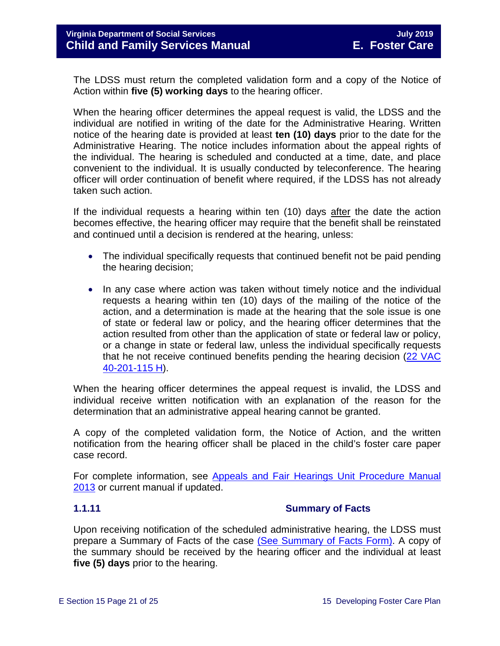The LDSS must return the completed validation form and a copy of the Notice of Action within **five (5) working days** to the hearing officer.

When the hearing officer determines the appeal request is valid, the LDSS and the individual are notified in writing of the date for the Administrative Hearing. Written notice of the hearing date is provided at least **ten (10) days** prior to the date for the Administrative Hearing. The notice includes information about the appeal rights of the individual. The hearing is scheduled and conducted at a time, date, and place convenient to the individual. It is usually conducted by teleconference. The hearing officer will order continuation of benefit where required, if the LDSS has not already taken such action.

If the individual requests a hearing within ten (10) days after the date the action becomes effective, the hearing officer may require that the benefit shall be reinstated and continued until a decision is rendered at the hearing, unless:

- The individual specifically requests that continued benefit not be paid pending the hearing decision;
- In any case where action was taken without timely notice and the individual requests a hearing within ten (10) days of the mailing of the notice of the action, and a determination is made at the hearing that the sole issue is one of state or federal law or policy, and the hearing officer determines that the action resulted from other than the application of state or federal law or policy, or a change in state or federal law, unless the individual specifically requests that he not receive continued benefits pending the hearing decision [\(22 VAC](http://law.lis.virginia.gov/admincode/title22/agency40/chapter201/section115)  [40-201-115 H\)](http://law.lis.virginia.gov/admincode/title22/agency40/chapter201/section115).

When the hearing officer determines the appeal request is invalid, the LDSS and individual receive written notification with an explanation of the reason for the determination that an administrative appeal hearing cannot be granted.

A copy of the completed validation form, the Notice of Action, and the written notification from the hearing officer shall be placed in the child's foster care paper case record.

For complete information, see [Appeals and Fair Hearings Unit Procedure Manual](https://fusion.dss.virginia.gov/Portals/%5BAC%5D/Files/Appeals%2C%20Fair%20Hearings%20and%20Civil%20Rights/AFH_Procedure_Manual.pdf)  [2013](https://fusion.dss.virginia.gov/Portals/%5BAC%5D/Files/Appeals%2C%20Fair%20Hearings%20and%20Civil%20Rights/AFH_Procedure_Manual.pdf) or current manual if updated.

#### <span id="page-20-0"></span>**1.1.11 Summary of Facts**

Upon receiving notification of the scheduled administrative hearing, the LDSS must prepare a Summary of Facts of the case [\(See Summary of Facts Form\).](https://fusion.dss.virginia.gov/Portals/%5Bdfs%5D/Files/DFS%20FORMS/Family%20Services-Generic%20Forms/Family%20Services%20Summary%20of%20Facts.pdf) A copy of the summary should be received by the hearing officer and the individual at least **five (5) days** prior to the hearing.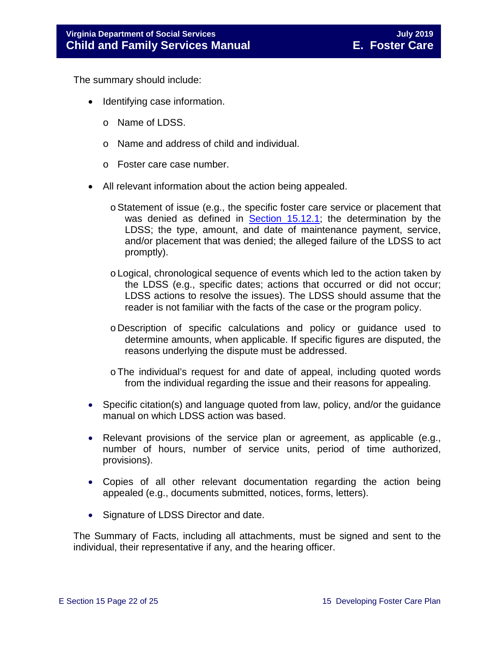The summary should include:

- Identifying case information.
	- o Name of LDSS.
	- o Name and address of child and individual.
	- o Foster care case number.
- All relevant information about the action being appealed.
	- oStatement of issue (e.g., the specific foster care service or placement that was denied as defined in [Section 15.12.1;](#page-16-2) the determination by the LDSS; the type, amount, and date of maintenance payment, service, and/or placement that was denied; the alleged failure of the LDSS to act promptly).
	- oLogical, chronological sequence of events which led to the action taken by the LDSS (e.g., specific dates; actions that occurred or did not occur; LDSS actions to resolve the issues). The LDSS should assume that the reader is not familiar with the facts of the case or the program policy.
	- o Description of specific calculations and policy or guidance used to determine amounts, when applicable. If specific figures are disputed, the reasons underlying the dispute must be addressed.
	- oThe individual's request for and date of appeal, including quoted words from the individual regarding the issue and their reasons for appealing.
- Specific citation(s) and language quoted from law, policy, and/or the guidance manual on which LDSS action was based.
- Relevant provisions of the service plan or agreement, as applicable (e.g., number of hours, number of service units, period of time authorized, provisions).
- Copies of all other relevant documentation regarding the action being appealed (e.g., documents submitted, notices, forms, letters).
- Signature of LDSS Director and date.

The Summary of Facts, including all attachments, must be signed and sent to the individual, their representative if any, and the hearing officer.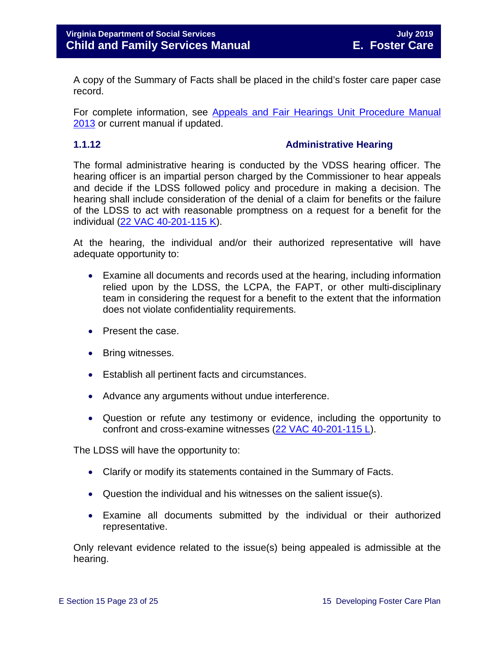A copy of the Summary of Facts shall be placed in the child's foster care paper case record.

For complete information, see [Appeals and Fair Hearings Unit Procedure Manual](https://fusion.dss.virginia.gov/Portals/%5BAC%5D/Files/Appeals%2C%20Fair%20Hearings%20and%20Civil%20Rights/AFH_Procedure_Manual.pdf)  [2013](https://fusion.dss.virginia.gov/Portals/%5BAC%5D/Files/Appeals%2C%20Fair%20Hearings%20and%20Civil%20Rights/AFH_Procedure_Manual.pdf) or current manual if updated.

#### <span id="page-22-0"></span>**1.1.12 Administrative Hearing**

The formal administrative hearing is conducted by the VDSS hearing officer. The hearing officer is an impartial person charged by the Commissioner to hear appeals and decide if the LDSS followed policy and procedure in making a decision. The hearing shall include consideration of the denial of a claim for benefits or the failure of the LDSS to act with reasonable promptness on a request for a benefit for the individual [\(22 VAC 40-201-115 K\)](http://law.lis.virginia.gov/admincode/title22/agency40/chapter201/section115).

At the hearing, the individual and/or their authorized representative will have adequate opportunity to:

- Examine all documents and records used at the hearing, including information relied upon by the LDSS, the LCPA, the FAPT, or other multi-disciplinary team in considering the request for a benefit to the extent that the information does not violate confidentiality requirements.
- Present the case.
- Bring witnesses.
- Establish all pertinent facts and circumstances.
- Advance any arguments without undue interference.
- Question or refute any testimony or evidence, including the opportunity to confront and cross-examine witnesses [\(22 VAC 40-201-115 L\)](http://law.lis.virginia.gov/admincode/title22/agency40/chapter201/section115).

The LDSS will have the opportunity to:

- Clarify or modify its statements contained in the Summary of Facts.
- Question the individual and his witnesses on the salient issue(s).
- Examine all documents submitted by the individual or their authorized representative.

Only relevant evidence related to the issue(s) being appealed is admissible at the hearing.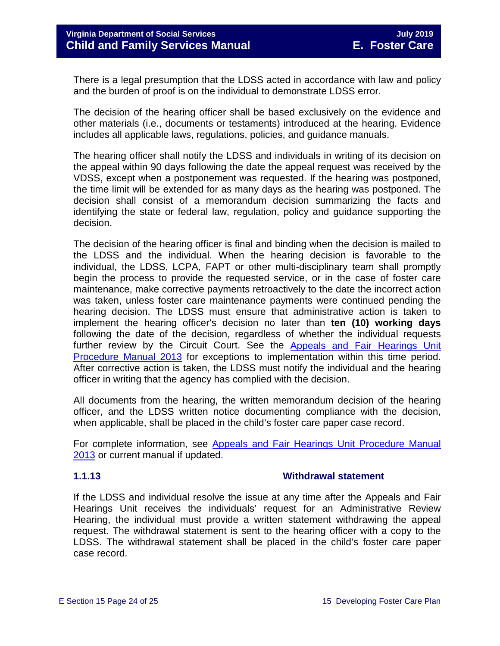There is a legal presumption that the LDSS acted in accordance with law and policy and the burden of proof is on the individual to demonstrate LDSS error.

The decision of the hearing officer shall be based exclusively on the evidence and other materials (i.e., documents or testaments) introduced at the hearing. Evidence includes all applicable laws, regulations, policies, and guidance manuals.

The hearing officer shall notify the LDSS and individuals in writing of its decision on the appeal within 90 days following the date the appeal request was received by the VDSS, except when a postponement was requested. If the hearing was postponed, the time limit will be extended for as many days as the hearing was postponed. The decision shall consist of a memorandum decision summarizing the facts and identifying the state or federal law, regulation, policy and guidance supporting the decision.

The decision of the hearing officer is final and binding when the decision is mailed to the LDSS and the individual. When the hearing decision is favorable to the individual, the LDSS, LCPA, FAPT or other multi-disciplinary team shall promptly begin the process to provide the requested service, or in the case of foster care maintenance, make corrective payments retroactively to the date the incorrect action was taken, unless foster care maintenance payments were continued pending the hearing decision. The LDSS must ensure that administrative action is taken to implement the hearing officer's decision no later than **ten (10) working days** following the date of the decision, regardless of whether the individual requests further review by the Circuit Court. See the Appeals and Fair Hearings Unit [Procedure Manual 2013](https://fusion.dss.virginia.gov/Portals/%5BAC%5D/Files/Appeals%2C%20Fair%20Hearings%20and%20Civil%20Rights/AFH_Procedure_Manual.pdf) for exceptions to implementation within this time period. After corrective action is taken, the LDSS must notify the individual and the hearing officer in writing that the agency has complied with the decision.

All documents from the hearing, the written memorandum decision of the hearing officer, and the LDSS written notice documenting compliance with the decision, when applicable, shall be placed in the child's foster care paper case record.

For complete information, see Appeals and Fair Hearings Unit Procedure Manual [2013](https://fusion.dss.virginia.gov/Portals/%5BAC%5D/Files/Appeals%2C%20Fair%20Hearings%20and%20Civil%20Rights/AFH_Procedure_Manual.pdf) or current manual if updated.

#### <span id="page-23-0"></span>**1.1.13 Withdrawal statement**

If the LDSS and individual resolve the issue at any time after the Appeals and Fair Hearings Unit receives the individuals' request for an Administrative Review Hearing, the individual must provide a written statement withdrawing the appeal request. The withdrawal statement is sent to the hearing officer with a copy to the LDSS. The withdrawal statement shall be placed in the child's foster care paper case record.